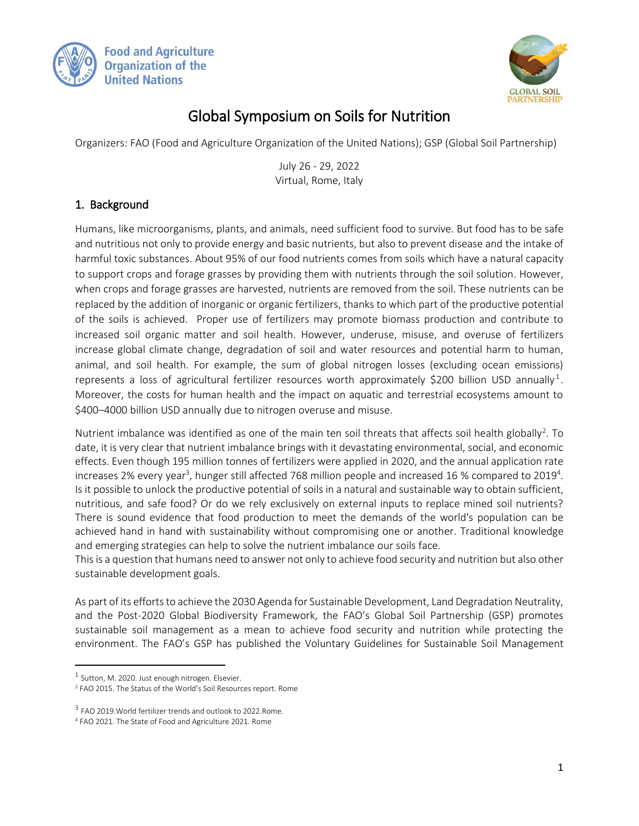



## Global Symposium on Soils for Nutrition

Organizers: FAO (Food and Agriculture Organization of the United Nations); GSP (Global Soil Partnership)

July 26 - 29, 2022 Virtual, Rome, Italy

## 1. Background

Humans, like microorganisms, plants, and animals, need sufficient food to survive. But food has to be safe and nutritious not only to provide energy and basic nutrients, but also to prevent disease and the intake of harmful toxic substances. About 95% of our food nutrients comes from soils which have a natural capacity to support crops and forage grasses by providing them with nutrients through the soil solution. However, when crops and forage grasses are harvested, nutrients are removed from the soil. These nutrients can be replaced by the addition of inorganic or organic fertilizers, thanks to which part of the productive potential of the soils is achieved. Proper use of fertilizers may promote biomass production and contribute to increased soil organic matter and soil health. However, underuse, misuse, and overuse of fertilizers increase global climate change, degradation of soil and water resources and potential harm to human, animal, and soil health. For example, the sum of global nitrogen losses (excluding ocean emissions) represents a loss of agricultural fertilizer resources worth approximately \$200 billion USD annually<sup>1</sup>. Moreover, the costs for human health and the impact on aquatic and terrestrial ecosystems amount to \$400–4000 billion USD annually due to nitrogen overuse and misuse.

Nutrient imbalance was identified as one of the main ten soil threats that affects soil health globally<sup>2</sup>. To date, it is very clear that nutrient imbalance brings with it devastating environmental, social, and economic effects. Even though 195 million tonnes of fertilizers were applied in 2020, and the annual application rate increases 2% every year<sup>3</sup>, hunger still affected 768 million people and increased 16 % compared to 2019<sup>4</sup>. Is it possible to unlock the productive potential of soils in a natural and sustainable way to obtain sufficient, nutritious, and safe food? Or do we rely exclusively on external inputs to replace mined soil nutrients? There is sound evidence that food production to meet the demands of the world's population can be achieved hand in hand with sustainability without compromising one or another. Traditional knowledge and emerging strategies can help to solve the nutrient imbalance our soils face.

This is a question that humans need to answer not only to achieve food security and nutrition but also other sustainable development goals.

As part of its efforts to achieve the 2030 Agenda for Sustainable Development, Land Degradation Neutrality, and the Post-2020 Global Biodiversity Framework, the FAO's Global Soil Partnership (GSP) promotes sustainable soil management as a mean to achieve food security and nutrition while protecting the environment. The FAO's GSP has published the Voluntary Guidelines for Sustainable Soil Management

 $\overline{\phantom{a}}$ 

 $<sup>1</sup>$  Sutton, M. 2020. Just enough nitrogen. Elsevier.</sup>

<sup>2</sup> FAO 2015. The Status of the World's Soil Resources report. Rome

<sup>&</sup>lt;sup>3</sup> FAO 2019. World fertilizer trends and outlook to 2022. Rome.

<sup>4</sup> FAO 2021. The State of Food and Agriculture 2021. Rome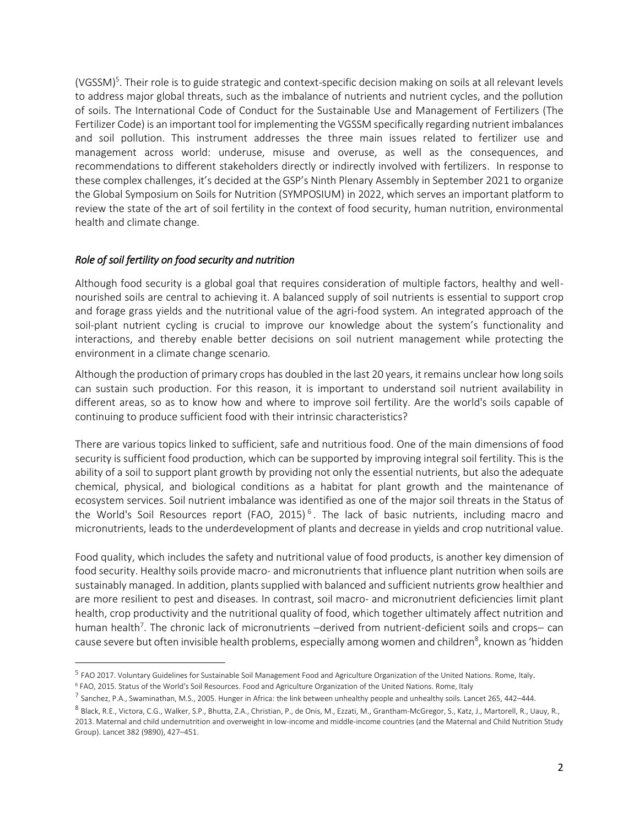(VGSSM)<sup>5</sup>. Their role is to guide strategic and context-specific decision making on soils at all relevant levels to address major global threats, such as the imbalance of nutrients and nutrient cycles, and the pollution of soils. The International Code of Conduct for the Sustainable Use and Management of Fertilizers (The Fertilizer Code) is an important tool for implementing the VGSSM specifically regarding nutrient imbalances and soil pollution. This instrument addresses the three main issues related to fertilizer use and management across world: underuse, misuse and overuse, as well as the consequences, and recommendations to different stakeholders directly or indirectly involved with fertilizers. In response to these complex challenges, it's decided at the GSP's Ninth Plenary Assembly in September 2021 to organize the Global Symposium on Soils for Nutrition (SYMPOSIUM) in 2022, which serves an important platform to review the state of the art of soil fertility in the context of food security, human nutrition, environmental health and climate change.

#### *Role of soil fertility on food security and nutrition*

 $\overline{a}$ 

Although food security is a global goal that requires consideration of multiple factors, healthy and wellnourished soils are central to achieving it. A balanced supply of soil nutrients is essential to support crop and forage grass yields and the nutritional value of the agri-food system. An integrated approach of the soil-plant nutrient cycling is crucial to improve our knowledge about the system's functionality and interactions, and thereby enable better decisions on soil nutrient management while protecting the environment in a climate change scenario.

Although the production of primary crops has doubled in the last 20 years, it remains unclear how long soils can sustain such production. For this reason, it is important to understand soil nutrient availability in different areas, so as to know how and where to improve soil fertility. Are the world's soils capable of continuing to produce sufficient food with their intrinsic characteristics?

There are various topics linked to sufficient, safe and nutritious food. One of the main dimensions of food security is sufficient food production, which can be supported by improving integral soil fertility. This is the ability of a soil to support plant growth by providing not only the essential nutrients, but also the adequate chemical, physical, and biological conditions as a habitat for plant growth and the maintenance of ecosystem services. Soil nutrient imbalance was identified as one of the major soil threats in the Status of the World's Soil Resources report (FAO, 2015)<sup>6</sup>. The lack of basic nutrients, including macro and micronutrients, leads to the underdevelopment of plants and decrease in yields and crop nutritional value.

Food quality, which includes the safety and nutritional value of food products, is another key dimension of food security. Healthy soils provide macro- and micronutrients that influence plant nutrition when soils are sustainably managed. In addition, plants supplied with balanced and sufficient nutrients grow healthier and are more resilient to pest and diseases. In contrast, soil macro- and micronutrient deficiencies limit plant health, crop productivity and the nutritional quality of food, which together ultimately affect nutrition and human health<sup>7</sup>. The chronic lack of micronutrients –derived from nutrient-deficient soils and crops– can cause severe but often invisible health problems, especially among women and children<sup>8</sup>, known as 'hidden

<sup>&</sup>lt;sup>5</sup> FAO 2017. Voluntary Guidelines for Sustainable Soil Management Food and Agriculture Organization of the United Nations. Rome, Italy.

<sup>6</sup> FAO, 2015. Status of the World's Soil Resources. Food and Agriculture Organization of the United Nations. Rome, Italy

 $^7$  Sanchez, P.A., Swaminathan, M.S., 2005. Hunger in Africa: the link between unhealthy people and unhealthy soils. Lancet 265, 442–444.

<sup>&</sup>lt;sup>8</sup> Black, R.E., Victora, C.G., Walker, S.P., Bhutta, Z.A., Christian, P., de Onis, M., Ezzati, M., Grantham-McGregor, S., Katz, J., Martorell, R., Uauy, R., 2013. Maternal and child undernutrition and overweight in low-income and middle-income countries (and the Maternal and Child Nutrition Study Group). Lancet 382 (9890), 427–451.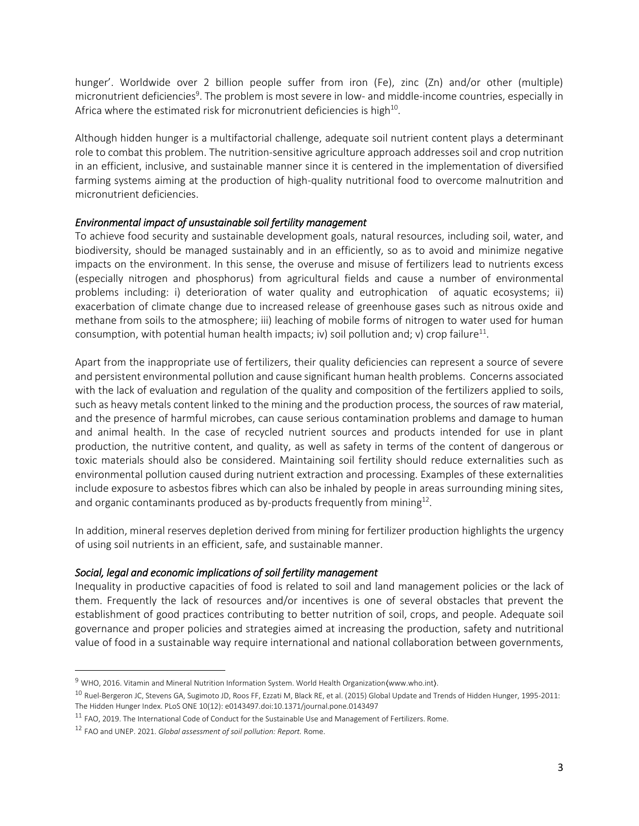hunger'. Worldwide over 2 billion people suffer from iron (Fe), zinc (Zn) and/or other (multiple) micronutrient deficiencies<sup>9</sup>. The problem is most severe in low- and middle-income countries, especially in Africa where the estimated risk for micronutrient deficiencies is high $^{10}$ .

Although hidden hunger is a multifactorial challenge, adequate soil nutrient content plays a determinant role to combat this problem. The nutrition-sensitive agriculture approach addresses soil and crop nutrition in an efficient, inclusive, and sustainable manner since it is centered in the implementation of diversified farming systems aiming at the production of high-quality nutritional food to overcome malnutrition and micronutrient deficiencies.

#### *Environmental impact of unsustainable soil fertility management*

To achieve food security and sustainable development goals, natural resources, including soil, water, and biodiversity, should be managed sustainably and in an efficiently, so as to avoid and minimize negative impacts on the environment. In this sense, the overuse and misuse of fertilizers lead to nutrients excess (especially nitrogen and phosphorus) from agricultural fields and cause a number of environmental problems including: i) deterioration of water quality and eutrophication of aquatic ecosystems; ii) exacerbation of climate change due to increased release of greenhouse gases such as nitrous oxide and methane from soils to the atmosphere; iii) leaching of mobile forms of nitrogen to water used for human consumption, with potential human health impacts; iv) soil pollution and; v) crop failure<sup>11</sup>.

Apart from the inappropriate use of fertilizers, their quality deficiencies can represent a source of severe and persistent environmental pollution and cause significant human health problems. Concerns associated with the lack of evaluation and regulation of the quality and composition of the fertilizers applied to soils, such as heavy metals content linked to the mining and the production process, the sources of raw material, and the presence of harmful microbes, can cause serious contamination problems and damage to human and animal health. In the case of recycled nutrient sources and products intended for use in plant production, the nutritive content, and quality, as well as safety in terms of the content of dangerous or toxic materials should also be considered. Maintaining soil fertility should reduce externalities such as environmental pollution caused during nutrient extraction and processing. Examples of these externalities include exposure to asbestos fibres which can also be inhaled by people in areas surrounding mining sites, and organic contaminants produced as by-products frequently from mining $^{12}$ .

In addition, mineral reserves depletion derived from mining for fertilizer production highlights the urgency of using soil nutrients in an efficient, safe, and sustainable manner.

#### *Social, legal and economic implications of soil fertility management*

Inequality in productive capacities of food is related to soil and land management policies or the lack of them. Frequently the lack of resources and/or incentives is one of several obstacles that prevent the establishment of good practices contributing to better nutrition of soil, crops, and people. Adequate soil governance and proper policies and strategies aimed at increasing the production, safety and nutritional value of food in a sustainable way require international and national collaboration between governments,

 $\overline{\phantom{a}}$ 

<sup>&</sup>lt;sup>9</sup> WHO, 2016. Vitamin and Mineral Nutrition Information System. World Health Organization(www.who.int).

<sup>10</sup> Ruel-Bergeron JC, Stevens GA, Sugimoto JD, Roos FF, Ezzati M, Black RE, et al. (2015) Global Update and Trends of Hidden Hunger, 1995-2011: The Hidden Hunger Index. PLoS ONE 10(12): e0143497.doi:10.1371/journal.pone.0143497

<sup>&</sup>lt;sup>11</sup> FAO, 2019. The International Code of Conduct for the Sustainable Use and Management of Fertilizers. Rome.

<sup>12</sup> FAO and UNEP. 2021. *Global assessment of soil pollution: Report.* Rome.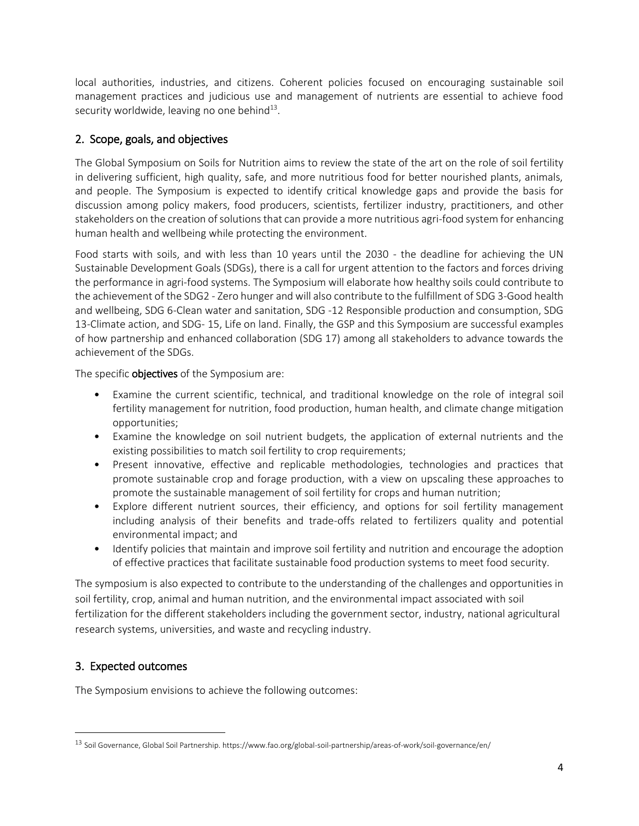local authorities, industries, and citizens. Coherent policies focused on encouraging sustainable soil management practices and judicious use and management of nutrients are essential to achieve food security worldwide, leaving no one behind<sup>13</sup>.

## 2. Scope, goals, and objectives

The Global Symposium on Soils for Nutrition aims to review the state of the art on the role of soil fertility in delivering sufficient, high quality, safe, and more nutritious food for better nourished plants, animals, and people. The Symposium is expected to identify critical knowledge gaps and provide the basis for discussion among policy makers, food producers, scientists, fertilizer industry, practitioners, and other stakeholders on the creation of solutions that can provide a more nutritious agri-food system for enhancing human health and wellbeing while protecting the environment.

Food starts with soils, and with less than 10 years until the 2030 - the deadline for achieving the UN Sustainable Development Goals (SDGs), there is a call for urgent attention to the factors and forces driving the performance in agri-food systems. The Symposium will elaborate how healthy soils could contribute to the achievement of the SDG2 - Zero hunger and will also contribute to the fulfillment of SDG 3-Good health and wellbeing, SDG 6-Clean water and sanitation, SDG -12 Responsible production and consumption, SDG 13-Climate action, and SDG- 15, Life on land. Finally, the GSP and this Symposium are successful examples of how partnership and enhanced collaboration (SDG 17) among all stakeholders to advance towards the achievement of the SDGs.

The specific **objectives** of the Symposium are:

- Examine the current scientific, technical, and traditional knowledge on the role of integral soil fertility management for nutrition, food production, human health, and climate change mitigation opportunities;
- Examine the knowledge on soil nutrient budgets, the application of external nutrients and the existing possibilities to match soil fertility to crop requirements;
- Present innovative, effective and replicable methodologies, technologies and practices that promote sustainable crop and forage production, with a view on upscaling these approaches to promote the sustainable management of soil fertility for crops and human nutrition;
- Explore different nutrient sources, their efficiency, and options for soil fertility management including analysis of their benefits and trade-offs related to fertilizers quality and potential environmental impact; and
- Identify policies that maintain and improve soil fertility and nutrition and encourage the adoption of effective practices that facilitate sustainable food production systems to meet food security.

The symposium is also expected to contribute to the understanding of the challenges and opportunities in soil fertility, crop, animal and human nutrition, and the environmental impact associated with soil fertilization for the different stakeholders including the government sector, industry, national agricultural research systems, universities, and waste and recycling industry.

## 3. Expected outcomes

 $\overline{\phantom{a}}$ 

The Symposium envisions to achieve the following outcomes:

<sup>13</sup> Soil Governance, Global Soil Partnership. https://www.fao.org/global-soil-partnership/areas-of-work/soil-governance/en/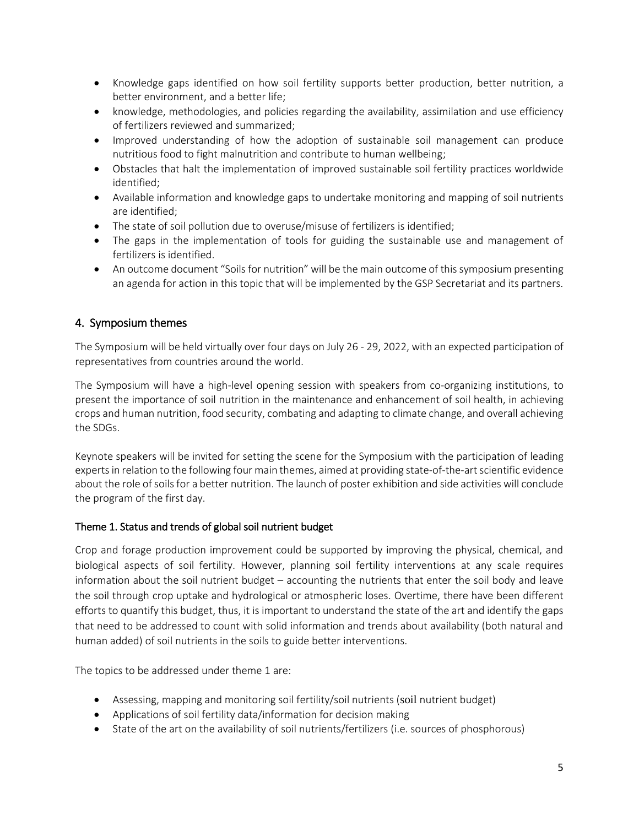- Knowledge gaps identified on how soil fertility supports better production, better nutrition, a better environment, and a better life;
- knowledge, methodologies, and policies regarding the availability, assimilation and use efficiency of fertilizers reviewed and summarized;
- Improved understanding of how the adoption of sustainable soil management can produce nutritious food to fight malnutrition and contribute to human wellbeing;
- Obstacles that halt the implementation of improved sustainable soil fertility practices worldwide identified;
- Available information and knowledge gaps to undertake monitoring and mapping of soil nutrients are identified;
- The state of soil pollution due to overuse/misuse of fertilizers is identified;
- The gaps in the implementation of tools for guiding the sustainable use and management of fertilizers is identified.
- An outcome document "Soils for nutrition" will be the main outcome of this symposium presenting an agenda for action in this topic that will be implemented by the GSP Secretariat and its partners.

## 4. Symposium themes

The Symposium will be held virtually over four days on July 26 - 29, 2022, with an expected participation of representatives from countries around the world.

The Symposium will have a high-level opening session with speakers from co-organizing institutions, to present the importance of soil nutrition in the maintenance and enhancement of soil health, in achieving crops and human nutrition, food security, combating and adapting to climate change, and overall achieving the SDGs.

Keynote speakers will be invited for setting the scene for the Symposium with the participation of leading experts in relation to the following four main themes, aimed at providing state-of-the-art scientific evidence about the role of soils for a better nutrition. The launch of poster exhibition and side activities will conclude the program of the first day.

#### Theme 1. Status and trends of global soil nutrient budget

Crop and forage production improvement could be supported by improving the physical, chemical, and biological aspects of soil fertility. However, planning soil fertility interventions at any scale requires information about the soil nutrient budget – accounting the nutrients that enter the soil body and leave the soil through crop uptake and hydrological or atmospheric loses. Overtime, there have been different efforts to quantify this budget, thus, it is important to understand the state of the art and identify the gaps that need to be addressed to count with solid information and trends about availability (both natural and human added) of soil nutrients in the soils to guide better interventions.

The topics to be addressed under theme 1 are:

- Assessing, mapping and monitoring soil fertility/soil nutrients (soil nutrient budget)
- Applications of soil fertility data/information for decision making
- State of the art on the availability of soil nutrients/fertilizers (i.e. sources of phosphorous)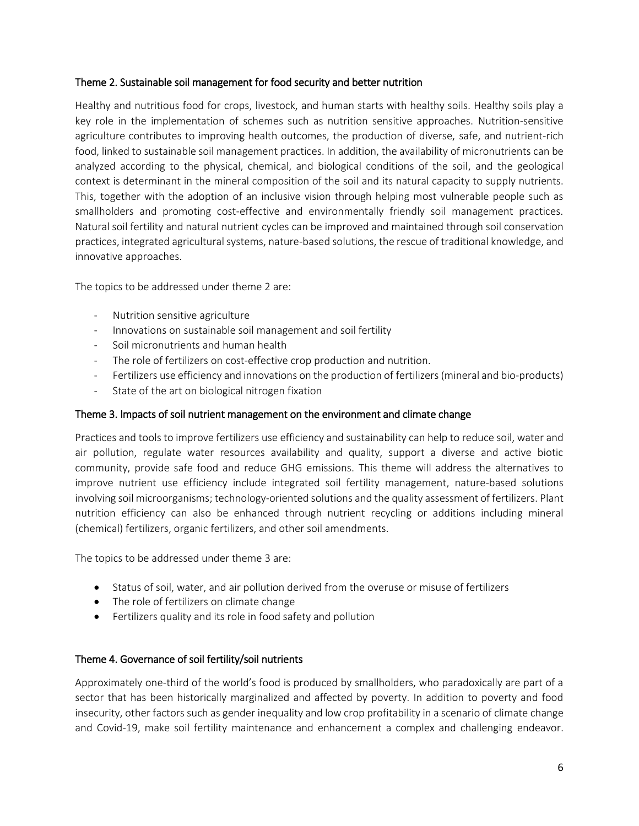#### Theme 2. Sustainable soil management for food security and better nutrition

Healthy and nutritious food for crops, livestock, and human starts with healthy soils. Healthy soils play a key role in the implementation of schemes such as nutrition sensitive approaches. Nutrition-sensitive agriculture contributes to improving health outcomes, the production of diverse, safe, and nutrient-rich food, linked to sustainable soil management practices. In addition, the availability of micronutrients can be analyzed according to the physical, chemical, and biological conditions of the soil, and the geological context is determinant in the mineral composition of the soil and its natural capacity to supply nutrients. This, together with the adoption of an inclusive vision through helping most vulnerable people such as smallholders and promoting cost-effective and environmentally friendly soil management practices. Natural soil fertility and natural nutrient cycles can be improved and maintained through soil conservation practices, integrated agricultural systems, nature-based solutions, the rescue of traditional knowledge, and innovative approaches.

The topics to be addressed under theme 2 are:

- Nutrition sensitive agriculture
- Innovations on sustainable soil management and soil fertility
- Soil micronutrients and human health
- The role of fertilizers on cost-effective crop production and nutrition.
- Fertilizers use efficiency and innovations on the production of fertilizers (mineral and bio-products)
- State of the art on biological nitrogen fixation

#### Theme 3. Impacts of soil nutrient management on the environment and climate change

Practices and tools to improve fertilizers use efficiency and sustainability can help to reduce soil, water and air pollution, regulate water resources availability and quality, support a diverse and active biotic community, provide safe food and reduce GHG emissions. This theme will address the alternatives to improve nutrient use efficiency include integrated soil fertility management, nature-based solutions involving soil microorganisms; technology-oriented solutions and the quality assessment of fertilizers. Plant nutrition efficiency can also be enhanced through nutrient recycling or additions including mineral (chemical) fertilizers, organic fertilizers, and other soil amendments.

The topics to be addressed under theme 3 are:

- Status of soil, water, and air pollution derived from the overuse or misuse of fertilizers
- The role of fertilizers on climate change
- Fertilizers quality and its role in food safety and pollution

#### Theme 4. Governance of soil fertility/soil nutrients

Approximately one-third of the world's food is produced by smallholders, who paradoxically are part of a sector that has been historically marginalized and affected by poverty. In addition to poverty and food insecurity, other factors such as gender inequality and low crop profitability in a scenario of climate change and Covid-19, make soil fertility maintenance and enhancement a complex and challenging endeavor.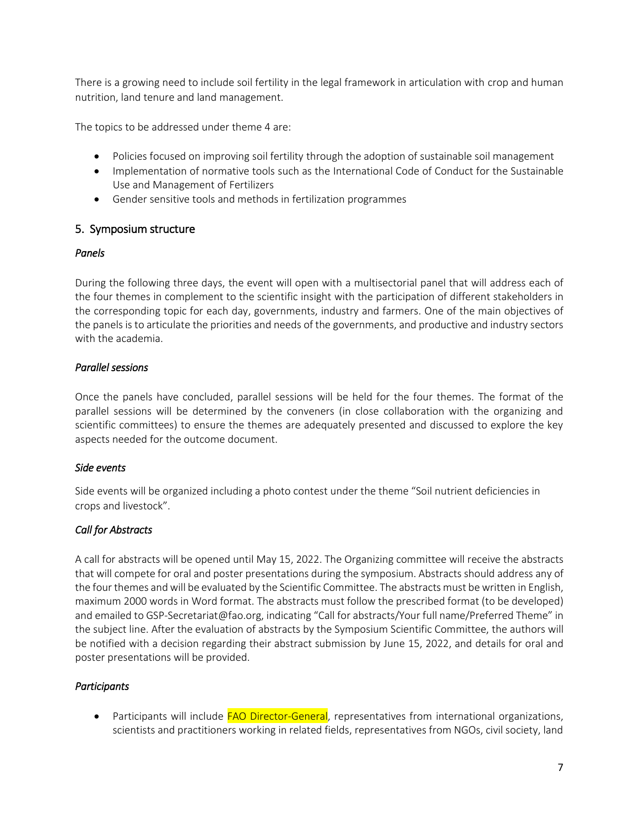There is a growing need to include soil fertility in the legal framework in articulation with crop and human nutrition, land tenure and land management.

The topics to be addressed under theme 4 are:

- Policies focused on improving soil fertility through the adoption of sustainable soil management
- Implementation of normative tools such as the International Code of Conduct for the Sustainable Use and Management of Fertilizers
- Gender sensitive tools and methods in fertilization programmes

#### 5. Symposium structure

#### *Panels*

During the following three days, the event will open with a multisectorial panel that will address each of the four themes in complement to the scientific insight with the participation of different stakeholders in the corresponding topic for each day, governments, industry and farmers. One of the main objectives of the panels is to articulate the priorities and needs of the governments, and productive and industry sectors with the academia.

#### *Parallel sessions*

Once the panels have concluded, parallel sessions will be held for the four themes. The format of the parallel sessions will be determined by the conveners (in close collaboration with the organizing and scientific committees) to ensure the themes are adequately presented and discussed to explore the key aspects needed for the outcome document.

#### *Side events*

Side events will be organized including a photo contest under the theme "Soil nutrient deficiencies in crops and livestock".

#### *Call for Abstracts*

A call for abstracts will be opened until May 15, 2022. The Organizing committee will receive the abstracts that will compete for oral and poster presentations during the symposium. Abstracts should address any of the four themes and will be evaluated by the Scientific Committee. The abstracts must be written in English, maximum 2000 words in Word format. The abstracts must follow the prescribed format (to be developed) and emailed to GSP-Secretariat@fao.org, indicating "Call for abstracts/Your full name/Preferred Theme" in the subject line. After the evaluation of abstracts by the Symposium Scientific Committee, the authors will be notified with a decision regarding their abstract submission by June 15, 2022, and details for oral and poster presentations will be provided.

#### *Participants*

• Participants will include FAO Director-General, representatives from international organizations, scientists and practitioners working in related fields, representatives from NGOs, civil society, land